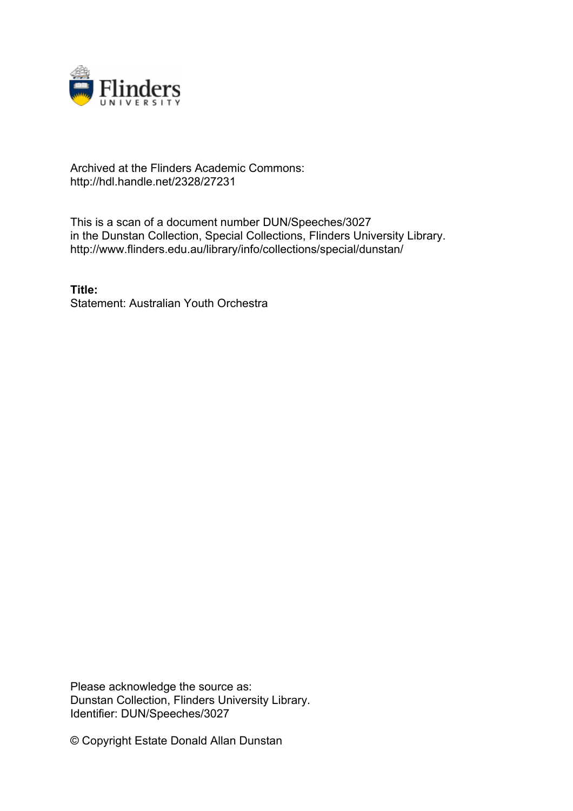

## Archived at the Flinders Academic Commons: http://hdl.handle.net/2328/27231

This is a scan of a document number DUN/Speeches/3027 in the Dunstan Collection, Special Collections, Flinders University Library. http://www.flinders.edu.au/library/info/collections/special/dunstan/

**Title:** Statement: Australian Youth Orchestra

Please acknowledge the source as: Dunstan Collection, Flinders University Library. Identifier: DUN/Speeches/3027

© Copyright Estate Donald Allan Dunstan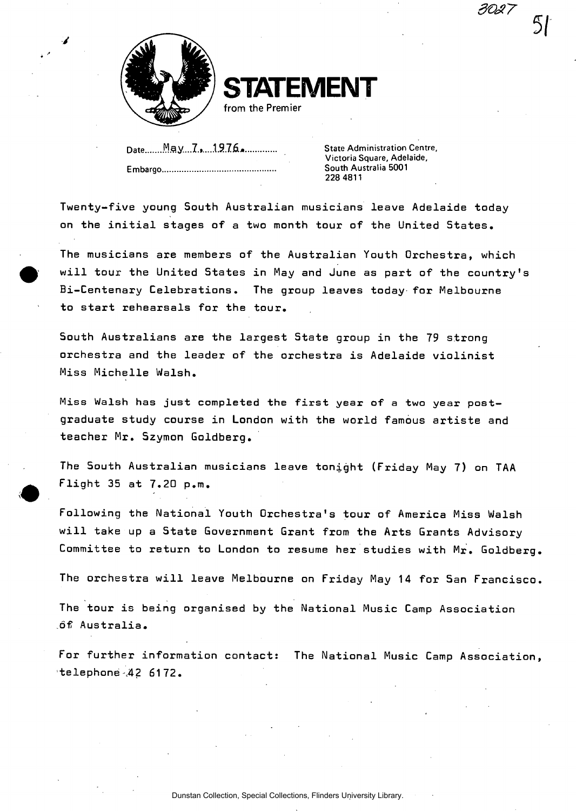*3Q27* 



**STATEMENT** 

from the Premier

Date........<sup>M</sup>ay...7. 1976 **All Election Centre,** State Administration Centre, **Embargo,** 

**Victoria Square, Adelaide, South Australia 5001 228 4811** 

**Twenty-five young South Australian musicians leave Adelaide today on the initial stages of a two month tour of the United States.** 

**The musicians are members of the Australian Youth Orchestra, which will tour the United States in May and June as part of the country's Bi-Centenary Celebrations. The group leaves today for Melbourne to start rehearsals for the tour.** 

**South Australians are the largest State group in the 79 strong orchestra and the leader of the orchestra is Adelaide violinist Miss Michelle Walsh.** 

**Miss Walsh has just completed the first year of a two year postgraduate study course in London with the world famous artiste and teacher Mr. Szymon Goldberg.** 

**The South Australian musicians leave tonight (Friday May 7) on TAA Flight 35 at 7.20 p.m.** 

**Following the National Youth Orchestra's tour of America Miss Walsh will take up a State Government Grant from the Arts Grants Advisory Committee to return to London to resume her studies with Mr. Goldberg** 

**The orchestra will leave Melbourne on Friday May 14 for San Francisco** 

**The tour is being organised by the National Music Camp Association of Australia.** 

**For further information contact: The National Music Camp Association telephone-.42 61 72.**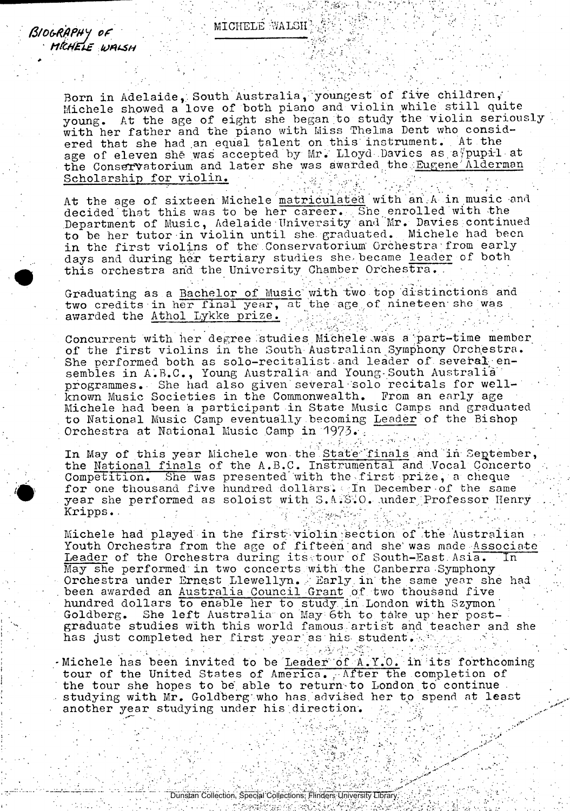*ft/OG-RQPHJ of M&HttE UAUSH* 

Born in Adelaide, South Australia, youngest of five children, Michele showed a love of both piano and violin while still quite young. At the age of eight she began to study the violin seriously with her father and the piano with Miss Thelma Dent who considered that she had an equal talent on this instrument. At the age of eleven she was accepted by Mr. Lloyd Davies as a pupil at the Conservatorium and later she was awarded the Eugene' Alderman Scholarship for violin.

At the age of sixteen Michele matriculated with an A in music and decided that this was to be her career. She enrolled with the Department of Music, Adelaide University and Mr. Davies;continued to be her tutor in violin until she. graduated. Michele had been in the first violins of the Conservatorium' Orchestra;from early days and during her tertiary studies she became leader of both this orchestra and the University Chamber Orchestra. .

Graduating as a Bachelor of Music with 'two top distinctions and two credits in her final year, at the age of nineteen she was awarded the Athol Lykke prize.

Concurrent with her degree studies Michele was a part-time member of the first violins in the South Australian Symphony Orchestra. She performed both as solo-recitalist and leader of several ensembles in A.B.C., Young Australia and Young-South Australia programmes. She had also given several solo recitals for well-<br>known Music Societies in the Commonwealth. From an early age known Music Societies in the Commonwealth. Michele had been a participant in State Music Camps and graduated to National Music Camp eventually becoming Leader of the Bishop Orchestra at National Music Camp in 1973.

In May of this year Michele won the State finals and in September, the National finals of the A.B.C. Instrumental and .Vocal Concerto Competition. She was presented'with the first prize, a cheque for one thousand five hundred dollars. Th December of the same year she performed as soloist with S.A.S.O. under Professor Henry Kripps.

Michele had played in the first violin section of the Australian Youth Orchestra from the age of fifteen and she was made Associate Leader of the Orchestra during its tour of South-East Asia. In May she performed in two concerts with the Canberra-Symphony Orchestra under Ernest Llewellyn. . Early in the same year she had . been awarded an Australia Council Grant of two thousand five hundred dollars to enable her to study in London with Szymon' Goldberg. She left Australia on May 6th to take up her postgraduate studies with this world famous 'artist and teacher and she has just completed her first year as his student.

-Michele has been invited to be Leader of A.Y.O. in its forthcoming tour of the United States of America. . After the completion of the tour she hopes to be able to return-to London to continue. studying with Mr. Goldberg who has advised her to spend at least another year studying under his direction.